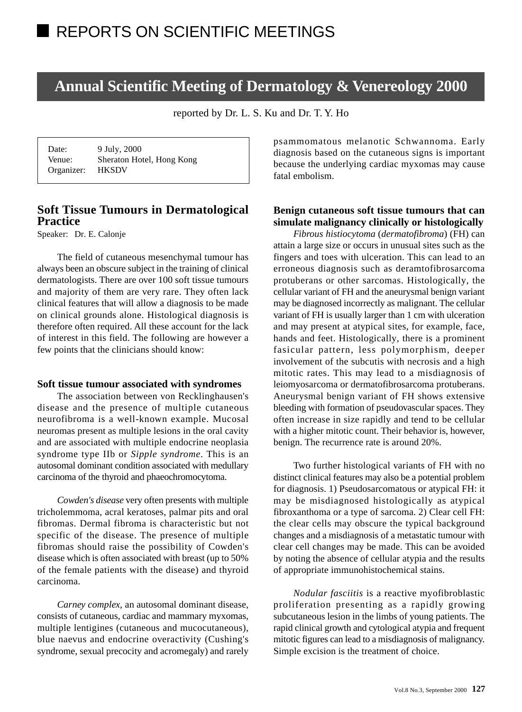# **Annual Scientific Meeting of Dermatology & Venereology 2000**

reported by Dr. L. S. Ku and Dr. T. Y. Ho

| Date:      | 9 July, 2000              |
|------------|---------------------------|
| Venue:     | Sheraton Hotel, Hong Kong |
| Organizer: | <b>HKSDV</b>              |

# **Soft Tissue Tumours in Dermatological Practice**

Speaker: Dr. E. Calonje

The field of cutaneous mesenchymal tumour has always been an obscure subject in the training of clinical dermatologists. There are over 100 soft tissue tumours and majority of them are very rare. They often lack clinical features that will allow a diagnosis to be made on clinical grounds alone. Histological diagnosis is therefore often required. All these account for the lack of interest in this field. The following are however a few points that the clinicians should know:

#### **Soft tissue tumour associated with syndromes**

The association between von Recklinghausen's disease and the presence of multiple cutaneous neurofibroma is a well-known example. Mucosal neuromas present as multiple lesions in the oral cavity and are associated with multiple endocrine neoplasia syndrome type IIb or *Sipple syndrome*. This is an autosomal dominant condition associated with medullary carcinoma of the thyroid and phaeochromocytoma.

*Cowden's disease* very often presents with multiple tricholemmoma, acral keratoses, palmar pits and oral fibromas. Dermal fibroma is characteristic but not specific of the disease. The presence of multiple fibromas should raise the possibility of Cowden's disease which is often associated with breast (up to 50% of the female patients with the disease) and thyroid carcinoma.

*Carney complex*, an autosomal dominant disease, consists of cutaneous, cardiac and mammary myxomas, multiple lentigines (cutaneous and mucocutaneous), blue naevus and endocrine overactivity (Cushing's syndrome, sexual precocity and acromegaly) and rarely psammomatous melanotic Schwannoma. Early diagnosis based on the cutaneous signs is important because the underlying cardiac myxomas may cause fatal embolism.

### **Benign cutaneous soft tissue tumours that can simulate malignancy clinically or histologically**

*Fibrous histiocytoma* (*dermatofibroma*) (FH) can attain a large size or occurs in unusual sites such as the fingers and toes with ulceration. This can lead to an erroneous diagnosis such as deramtofibrosarcoma protuberans or other sarcomas. Histologically, the cellular variant of FH and the aneurysmal benign variant may be diagnosed incorrectly as malignant. The cellular variant of FH is usually larger than 1 cm with ulceration and may present at atypical sites, for example, face, hands and feet. Histologically, there is a prominent fasicular pattern, less polymorphism, deeper involvement of the subcutis with necrosis and a high mitotic rates. This may lead to a misdiagnosis of leiomyosarcoma or dermatofibrosarcoma protuberans. Aneurysmal benign variant of FH shows extensive bleeding with formation of pseudovascular spaces. They often increase in size rapidly and tend to be cellular with a higher mitotic count. Their behavior is, however, benign. The recurrence rate is around 20%.

Two further histological variants of FH with no distinct clinical features may also be a potential problem for diagnosis. 1) Pseudosarcomatous or atypical FH: it may be misdiagnosed histologically as atypical fibroxanthoma or a type of sarcoma. 2) Clear cell FH: the clear cells may obscure the typical background changes and a misdiagnosis of a metastatic tumour with clear cell changes may be made. This can be avoided by noting the absence of cellular atypia and the results of appropriate immunohistochemical stains.

*Nodular fasciitis* is a reactive myofibroblastic proliferation presenting as a rapidly growing subcutaneous lesion in the limbs of young patients. The rapid clinical growth and cytological atypia and frequent mitotic figures can lead to a misdiagnosis of malignancy. Simple excision is the treatment of choice.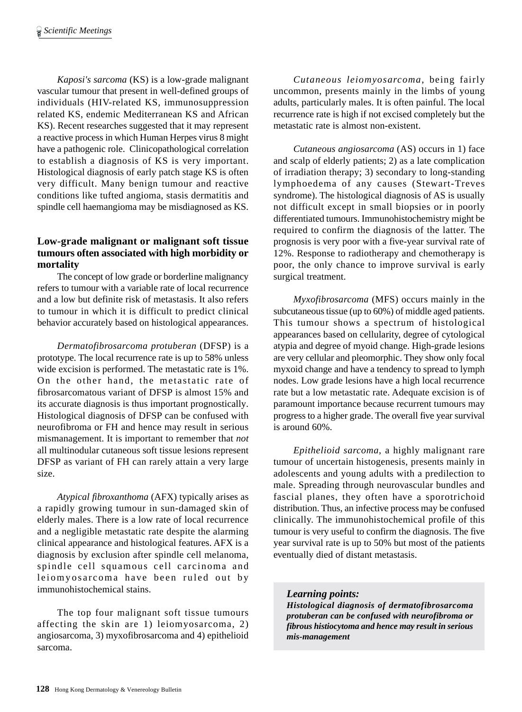*Kaposi's sarcoma* (KS) is a low-grade malignant vascular tumour that present in well-defined groups of individuals (HIV-related KS, immunosuppression related KS, endemic Mediterranean KS and African KS). Recent researches suggested that it may represent a reactive process in which Human Herpes virus 8 might have a pathogenic role. Clinicopathological correlation to establish a diagnosis of KS is very important. Histological diagnosis of early patch stage KS is often very difficult. Many benign tumour and reactive conditions like tufted angioma, stasis dermatitis and spindle cell haemangioma may be misdiagnosed as KS.

# **Low-grade malignant or malignant soft tissue tumours often associated with high morbidity or mortality**

The concept of low grade or borderline malignancy refers to tumour with a variable rate of local recurrence and a low but definite risk of metastasis. It also refers to tumour in which it is difficult to predict clinical behavior accurately based on histological appearances.

*Dermatofibrosarcoma protuberan* (DFSP) is a prototype. The local recurrence rate is up to 58% unless wide excision is performed. The metastatic rate is 1%. On the other hand, the metastatic rate of fibrosarcomatous variant of DFSP is almost 15% and its accurate diagnosis is thus important prognostically. Histological diagnosis of DFSP can be confused with neurofibroma or FH and hence may result in serious mismanagement. It is important to remember that *not* all multinodular cutaneous soft tissue lesions represent DFSP as variant of FH can rarely attain a very large size.

*Atypical fibroxanthoma* (AFX) typically arises as a rapidly growing tumour in sun-damaged skin of elderly males. There is a low rate of local recurrence and a negligible metastatic rate despite the alarming clinical appearance and histological features. AFX is a diagnosis by exclusion after spindle cell melanoma, spindle cell squamous cell carcinoma and leiomyosarcoma have been ruled out by immunohistochemical stains.

The top four malignant soft tissue tumours affecting the skin are 1) leiomyosarcoma, 2) angiosarcoma, 3) myxofibrosarcoma and 4) epithelioid sarcoma.

*Cutaneous leiomyosarcoma*, being fairly uncommon, presents mainly in the limbs of young adults, particularly males. It is often painful. The local recurrence rate is high if not excised completely but the metastatic rate is almost non-existent.

*Cutaneous angiosarcoma* (AS) occurs in 1) face and scalp of elderly patients; 2) as a late complication of irradiation therapy; 3) secondary to long-standing lymphoedema of any causes (Stewart-Treves syndrome). The histological diagnosis of AS is usually not difficult except in small biopsies or in poorly differentiated tumours. Immunohistochemistry might be required to confirm the diagnosis of the latter. The prognosis is very poor with a five-year survival rate of 12%. Response to radiotherapy and chemotherapy is poor, the only chance to improve survival is early surgical treatment.

*Myxofibrosarcoma* (MFS) occurs mainly in the subcutaneous tissue (up to 60%) of middle aged patients. This tumour shows a spectrum of histological appearances based on cellularity, degree of cytological atypia and degree of myoid change. High-grade lesions are very cellular and pleomorphic. They show only focal myxoid change and have a tendency to spread to lymph nodes. Low grade lesions have a high local recurrence rate but a low metastatic rate. Adequate excision is of paramount importance because recurrent tumours may progress to a higher grade. The overall five year survival is around 60%.

*Epithelioid sarcoma*, a highly malignant rare tumour of uncertain histogenesis, presents mainly in adolescents and young adults with a predilection to male. Spreading through neurovascular bundles and fascial planes, they often have a sporotrichoid distribution. Thus, an infective process may be confused clinically. The immunohistochemical profile of this tumour is very useful to confirm the diagnosis. The five year survival rate is up to 50% but most of the patients eventually died of distant metastasis.

*Learning points: Histological diagnosis of dermatofibrosarcoma protuberan can be confused with neurofibroma or fibrous histiocytoma and hence may result in serious mis-management*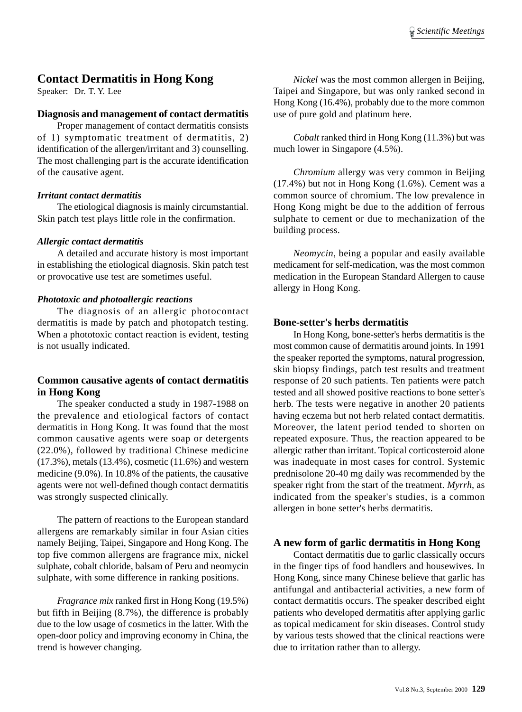# **Contact Dermatitis in Hong Kong**

Speaker: Dr. T. Y. Lee

#### **Diagnosis and management of contact dermatitis**

Proper management of contact dermatitis consists of 1) symptomatic treatment of dermatitis, 2) identification of the allergen/irritant and 3) counselling. The most challenging part is the accurate identification of the causative agent.

#### *Irritant contact dermatitis*

The etiological diagnosis is mainly circumstantial. Skin patch test plays little role in the confirmation.

#### *Allergic contact dermatitis*

A detailed and accurate history is most important in establishing the etiological diagnosis. Skin patch test or provocative use test are sometimes useful.

#### *Phototoxic and photoallergic reactions*

The diagnosis of an allergic photocontact dermatitis is made by patch and photopatch testing. When a phototoxic contact reaction is evident, testing is not usually indicated.

### **Common causative agents of contact dermatitis in Hong Kong**

The speaker conducted a study in 1987-1988 on the prevalence and etiological factors of contact dermatitis in Hong Kong. It was found that the most common causative agents were soap or detergents (22.0%), followed by traditional Chinese medicine (17.3%), metals (13.4%), cosmetic (11.6%) and western medicine (9.0%). In 10.8% of the patients, the causative agents were not well-defined though contact dermatitis was strongly suspected clinically.

The pattern of reactions to the European standard allergens are remarkably similar in four Asian cities namely Beijing, Taipei, Singapore and Hong Kong. The top five common allergens are fragrance mix, nickel sulphate, cobalt chloride, balsam of Peru and neomycin sulphate, with some difference in ranking positions.

*Fragrance mix* ranked first in Hong Kong (19.5%) but fifth in Beijing (8.7%), the difference is probably due to the low usage of cosmetics in the latter. With the open-door policy and improving economy in China, the trend is however changing.

*Nickel* was the most common allergen in Beijing, Taipei and Singapore, but was only ranked second in Hong Kong (16.4%), probably due to the more common use of pure gold and platinum here.

*Cobalt* ranked third in Hong Kong (11.3%) but was much lower in Singapore (4.5%).

*Chromium* allergy was very common in Beijing (17.4%) but not in Hong Kong (1.6%). Cement was a common source of chromium. The low prevalence in Hong Kong might be due to the addition of ferrous sulphate to cement or due to mechanization of the building process.

*Neomycin*, being a popular and easily available medicament for self-medication, was the most common medication in the European Standard Allergen to cause allergy in Hong Kong.

#### **Bone-setter's herbs dermatitis**

In Hong Kong, bone-setter's herbs dermatitis is the most common cause of dermatitis around joints. In 1991 the speaker reported the symptoms, natural progression, skin biopsy findings, patch test results and treatment response of 20 such patients. Ten patients were patch tested and all showed positive reactions to bone setter's herb. The tests were negative in another 20 patients having eczema but not herb related contact dermatitis. Moreover, the latent period tended to shorten on repeated exposure. Thus, the reaction appeared to be allergic rather than irritant. Topical corticosteroid alone was inadequate in most cases for control. Systemic prednisolone 20-40 mg daily was recommended by the speaker right from the start of the treatment. *Myrrh*, as indicated from the speaker's studies, is a common allergen in bone setter's herbs dermatitis.

#### **A new form of garlic dermatitis in Hong Kong**

Contact dermatitis due to garlic classically occurs in the finger tips of food handlers and housewives. In Hong Kong, since many Chinese believe that garlic has antifungal and antibacterial activities, a new form of contact dermatitis occurs. The speaker described eight patients who developed dermatitis after applying garlic as topical medicament for skin diseases. Control study by various tests showed that the clinical reactions were due to irritation rather than to allergy.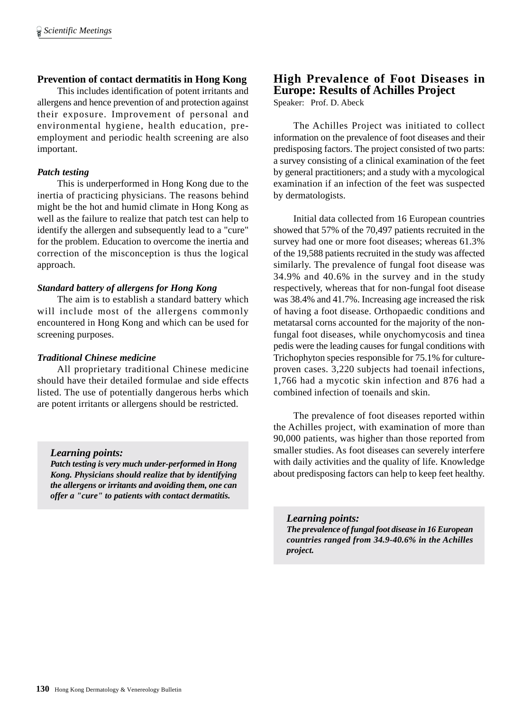# **Prevention of contact dermatitis in Hong Kong**

This includes identification of potent irritants and allergens and hence prevention of and protection against their exposure. Improvement of personal and environmental hygiene, health education, preemployment and periodic health screening are also important.

## *Patch testing*

This is underperformed in Hong Kong due to the inertia of practicing physicians. The reasons behind might be the hot and humid climate in Hong Kong as well as the failure to realize that patch test can help to identify the allergen and subsequently lead to a "cure" for the problem. Education to overcome the inertia and correction of the misconception is thus the logical approach.

## *Standard battery of allergens for Hong Kong*

The aim is to establish a standard battery which will include most of the allergens commonly encountered in Hong Kong and which can be used for screening purposes.

#### *Traditional Chinese medicine*

All proprietary traditional Chinese medicine should have their detailed formulae and side effects listed. The use of potentially dangerous herbs which are potent irritants or allergens should be restricted.

#### *Learning points:*

*Patch testing is very much under-performed in Hong Kong. Physicians should realize that by identifying the allergens or irritants and avoiding them, one can offer a "cure" to patients with contact dermatitis.*

# **High Prevalence of Foot Diseases in Europe: Results of Achilles Project**

Speaker: Prof. D. Abeck

The Achilles Project was initiated to collect information on the prevalence of foot diseases and their predisposing factors. The project consisted of two parts: a survey consisting of a clinical examination of the feet by general practitioners; and a study with a mycological examination if an infection of the feet was suspected by dermatologists.

Initial data collected from 16 European countries showed that 57% of the 70,497 patients recruited in the survey had one or more foot diseases; whereas 61.3% of the 19,588 patients recruited in the study was affected similarly. The prevalence of fungal foot disease was 34.9% and 40.6% in the survey and in the study respectively, whereas that for non-fungal foot disease was 38.4% and 41.7%. Increasing age increased the risk of having a foot disease. Orthopaedic conditions and metatarsal corns accounted for the majority of the nonfungal foot diseases, while onychomycosis and tinea pedis were the leading causes for fungal conditions with Trichophyton species responsible for 75.1% for cultureproven cases. 3,220 subjects had toenail infections, 1,766 had a mycotic skin infection and 876 had a combined infection of toenails and skin.

The prevalence of foot diseases reported within the Achilles project, with examination of more than 90,000 patients, was higher than those reported from smaller studies. As foot diseases can severely interfere with daily activities and the quality of life. Knowledge about predisposing factors can help to keep feet healthy.

*Learning points: The prevalence of fungal foot disease in 16 European countries ranged from 34.9-40.6% in the Achilles project.*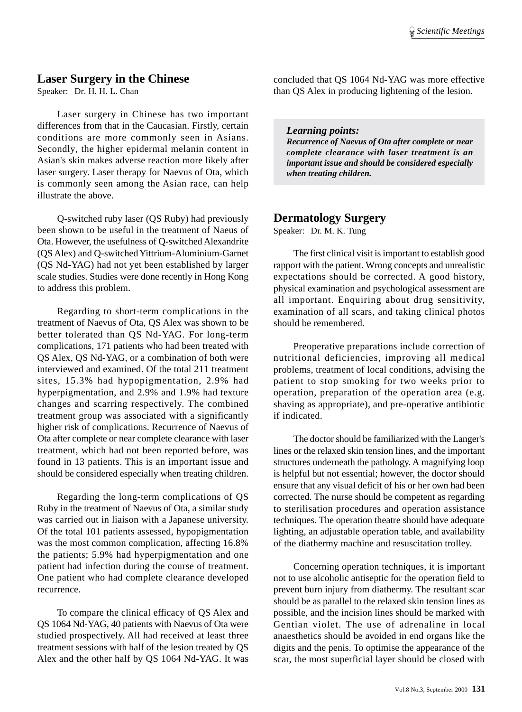## **Laser Surgery in the Chinese**

Speaker: Dr. H. H. L. Chan

Laser surgery in Chinese has two important differences from that in the Caucasian. Firstly, certain conditions are more commonly seen in Asians. Secondly, the higher epidermal melanin content in Asian's skin makes adverse reaction more likely after laser surgery. Laser therapy for Naevus of Ota, which is commonly seen among the Asian race, can help illustrate the above.

Q-switched ruby laser (QS Ruby) had previously been shown to be useful in the treatment of Naeus of Ota. However, the usefulness of Q-switched Alexandrite (QS Alex) and Q-switched Yittrium-Aluminium-Garnet (QS Nd-YAG) had not yet been established by larger scale studies. Studies were done recently in Hong Kong to address this problem.

Regarding to short-term complications in the treatment of Naevus of Ota, QS Alex was shown to be better tolerated than QS Nd-YAG. For long-term complications, 171 patients who had been treated with QS Alex, QS Nd-YAG, or a combination of both were interviewed and examined. Of the total 211 treatment sites, 15.3% had hypopigmentation, 2.9% had hyperpigmentation, and 2.9% and 1.9% had texture changes and scarring respectively. The combined treatment group was associated with a significantly higher risk of complications. Recurrence of Naevus of Ota after complete or near complete clearance with laser treatment, which had not been reported before, was found in 13 patients. This is an important issue and should be considered especially when treating children.

Regarding the long-term complications of QS Ruby in the treatment of Naevus of Ota, a similar study was carried out in liaison with a Japanese university. Of the total 101 patients assessed, hypopigmentation was the most common complication, affecting 16.8% the patients; 5.9% had hyperpigmentation and one patient had infection during the course of treatment. One patient who had complete clearance developed recurrence.

To compare the clinical efficacy of QS Alex and QS 1064 Nd-YAG, 40 patients with Naevus of Ota were studied prospectively. All had received at least three treatment sessions with half of the lesion treated by QS Alex and the other half by QS 1064 Nd-YAG. It was

concluded that QS 1064 Nd-YAG was more effective than QS Alex in producing lightening of the lesion.

*Learning points: Recurrence of Naevus of Ota after complete or near complete clearance with laser treatment is an important issue and should be considered especially when treating children.*

# **Dermatology Surgery**

Speaker: Dr. M. K. Tung

The first clinical visit is important to establish good rapport with the patient. Wrong concepts and unrealistic expectations should be corrected. A good history, physical examination and psychological assessment are all important. Enquiring about drug sensitivity, examination of all scars, and taking clinical photos should be remembered.

Preoperative preparations include correction of nutritional deficiencies, improving all medical problems, treatment of local conditions, advising the patient to stop smoking for two weeks prior to operation, preparation of the operation area (e.g. shaving as appropriate), and pre-operative antibiotic if indicated.

The doctor should be familiarized with the Langer's lines or the relaxed skin tension lines, and the important structures underneath the pathology. A magnifying loop is helpful but not essential; however, the doctor should ensure that any visual deficit of his or her own had been corrected. The nurse should be competent as regarding to sterilisation procedures and operation assistance techniques. The operation theatre should have adequate lighting, an adjustable operation table, and availability of the diathermy machine and resuscitation trolley.

Concerning operation techniques, it is important not to use alcoholic antiseptic for the operation field to prevent burn injury from diathermy. The resultant scar should be as parallel to the relaxed skin tension lines as possible, and the incision lines should be marked with Gentian violet. The use of adrenaline in local anaesthetics should be avoided in end organs like the digits and the penis. To optimise the appearance of the scar, the most superficial layer should be closed with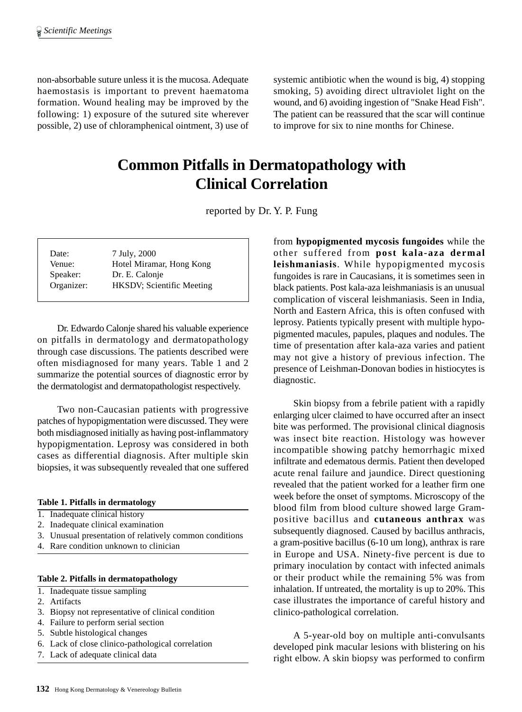non-absorbable suture unless it is the mucosa. Adequate haemostasis is important to prevent haematoma formation. Wound healing may be improved by the following: 1) exposure of the sutured site wherever possible, 2) use of chloramphenical ointment, 3) use of systemic antibiotic when the wound is big, 4) stopping smoking, 5) avoiding direct ultraviolet light on the wound, and 6) avoiding ingestion of "Snake Head Fish". The patient can be reassured that the scar will continue to improve for six to nine months for Chinese.

# **Common Pitfalls in Dermatopathology with Clinical Correlation**

reported by Dr. Y. P. Fung

| Date:<br>Venue: | 7 July, 2000<br>Hotel Miramar, Hong Kong |
|-----------------|------------------------------------------|
| Speaker:        | Dr. E. Calonje                           |
| Organizer:      | <b>HKSDV</b> ; Scientific Meeting        |

Dr. Edwardo Calonje shared his valuable experience on pitfalls in dermatology and dermatopathology through case discussions. The patients described were often misdiagnosed for many years. Table 1 and 2 summarize the potential sources of diagnostic error by the dermatologist and dermatopathologist respectively.

Two non-Caucasian patients with progressive patches of hypopigmentation were discussed. They were both misdiagnosed initially as having post-inflammatory hypopigmentation. Leprosy was considered in both cases as differential diagnosis. After multiple skin biopsies, it was subsequently revealed that one suffered

#### **Table 1. Pitfalls in dermatology**

- 1. Inadequate clinical history
- 2. Inadequate clinical examination
- 3. Unusual presentation of relatively common conditions
- 4. Rare condition unknown to clinician

#### **Table 2. Pitfalls in dermatopathology**

- 1. Inadequate tissue sampling
- 2. Artifacts
- 3. Biopsy not representative of clinical condition
- 4. Failure to perform serial section
- 5. Subtle histological changes
- 6. Lack of close clinico-pathological correlation
- 7. Lack of adequate clinical data

from **hypopigmented mycosis fungoides** while the other suffered from **post kala-aza dermal leishmaniasis**. While hypopigmented mycosis fungoides is rare in Caucasians, it is sometimes seen in black patients. Post kala-aza leishmaniasis is an unusual complication of visceral leishmaniasis. Seen in India, North and Eastern Africa, this is often confused with leprosy. Patients typically present with multiple hypopigmented macules, papules, plaques and nodules. The time of presentation after kala-aza varies and patient may not give a history of previous infection. The presence of Leishman-Donovan bodies in histiocytes is diagnostic.

Skin biopsy from a febrile patient with a rapidly enlarging ulcer claimed to have occurred after an insect bite was performed. The provisional clinical diagnosis was insect bite reaction. Histology was however incompatible showing patchy hemorrhagic mixed infiltrate and edematous dermis. Patient then developed acute renal failure and jaundice. Direct questioning revealed that the patient worked for a leather firm one week before the onset of symptoms. Microscopy of the blood film from blood culture showed large Grampositive bacillus and **cutaneous anthrax** was subsequently diagnosed. Caused by bacillus anthracis, a gram-positive bacillus (6-10 um long), anthrax is rare in Europe and USA. Ninety-five percent is due to primary inoculation by contact with infected animals or their product while the remaining 5% was from inhalation. If untreated, the mortality is up to 20%. This case illustrates the importance of careful history and clinico-pathological correlation.

A 5-year-old boy on multiple anti-convulsants developed pink macular lesions with blistering on his right elbow. A skin biopsy was performed to confirm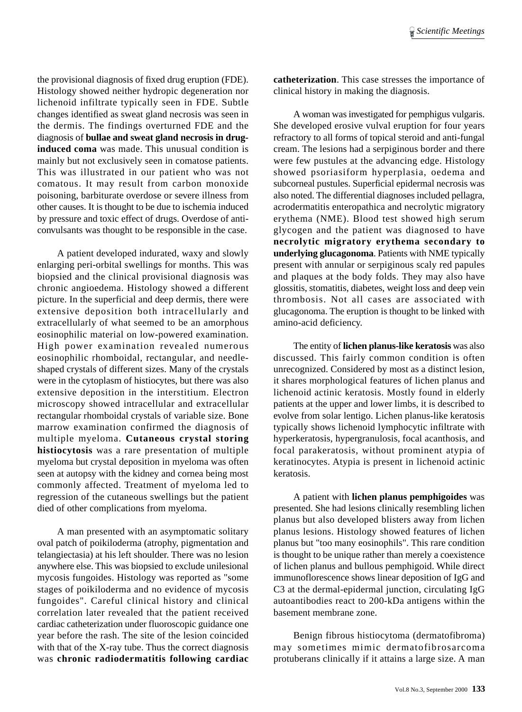the provisional diagnosis of fixed drug eruption (FDE). Histology showed neither hydropic degeneration nor lichenoid infiltrate typically seen in FDE. Subtle changes identified as sweat gland necrosis was seen in the dermis. The findings overturned FDE and the diagnosis of **bullae and sweat gland necrosis in druginduced coma** was made. This unusual condition is mainly but not exclusively seen in comatose patients. This was illustrated in our patient who was not comatous. It may result from carbon monoxide poisoning, barbiturate overdose or severe illness from other causes. It is thought to be due to ischemia induced by pressure and toxic effect of drugs. Overdose of anticonvulsants was thought to be responsible in the case.

A patient developed indurated, waxy and slowly enlarging peri-orbital swellings for months. This was biopsied and the clinical provisional diagnosis was chronic angioedema. Histology showed a different picture. In the superficial and deep dermis, there were extensive deposition both intracellularly and extracellularly of what seemed to be an amorphous eosinophilic material on low-powered examination. High power examination revealed numerous eosinophilic rhomboidal, rectangular, and needleshaped crystals of different sizes. Many of the crystals were in the cytoplasm of histiocytes, but there was also extensive deposition in the interstitium. Electron microscopy showed intracellular and extracellular rectangular rhomboidal crystals of variable size. Bone marrow examination confirmed the diagnosis of multiple myeloma. **Cutaneous crystal storing histiocytosis** was a rare presentation of multiple myeloma but crystal deposition in myeloma was often seen at autopsy with the kidney and cornea being most commonly affected. Treatment of myeloma led to regression of the cutaneous swellings but the patient died of other complications from myeloma.

A man presented with an asymptomatic solitary oval patch of poikiloderma (atrophy, pigmentation and telangiectasia) at his left shoulder. There was no lesion anywhere else. This was biopsied to exclude unilesional mycosis fungoides. Histology was reported as "some stages of poikiloderma and no evidence of mycosis fungoides". Careful clinical history and clinical correlation later revealed that the patient received cardiac catheterization under fluoroscopic guidance one year before the rash. The site of the lesion coincided with that of the X-ray tube. Thus the correct diagnosis was **chronic radiodermatitis following cardiac** **catheterization**. This case stresses the importance of clinical history in making the diagnosis.

A woman was investigated for pemphigus vulgaris. She developed erosive vulval eruption for four years refractory to all forms of topical steroid and anti-fungal cream. The lesions had a serpiginous border and there were few pustules at the advancing edge. Histology showed psoriasiform hyperplasia, oedema and subcorneal pustules. Superficial epidermal necrosis was also noted. The differential diagnoses included pellagra, acrodermatitis enteropathica and necrolytic migratory erythema (NME). Blood test showed high serum glycogen and the patient was diagnosed to have **necrolytic migratory erythema secondary to underlying glucagonoma**. Patients with NME typically present with annular or serpiginous scaly red papules and plaques at the body folds. They may also have glossitis, stomatitis, diabetes, weight loss and deep vein thrombosis. Not all cases are associated with glucagonoma. The eruption is thought to be linked with amino-acid deficiency.

The entity of **lichen planus-like keratosis** was also discussed. This fairly common condition is often unrecognized. Considered by most as a distinct lesion, it shares morphological features of lichen planus and lichenoid actinic keratosis. Mostly found in elderly patients at the upper and lower limbs, it is described to evolve from solar lentigo. Lichen planus-like keratosis typically shows lichenoid lymphocytic infiltrate with hyperkeratosis, hypergranulosis, focal acanthosis, and focal parakeratosis, without prominent atypia of keratinocytes. Atypia is present in lichenoid actinic keratosis.

A patient with **lichen planus pemphigoides** was presented. She had lesions clinically resembling lichen planus but also developed blisters away from lichen planus lesions. Histology showed features of lichen planus but "too many eosinophils". This rare condition is thought to be unique rather than merely a coexistence of lichen planus and bullous pemphigoid. While direct immunoflorescence shows linear deposition of IgG and C3 at the dermal-epidermal junction, circulating IgG autoantibodies react to 200-kDa antigens within the basement membrane zone.

Benign fibrous histiocytoma (dermatofibroma) may sometimes mimic dermatofibrosarcoma protuberans clinically if it attains a large size. A man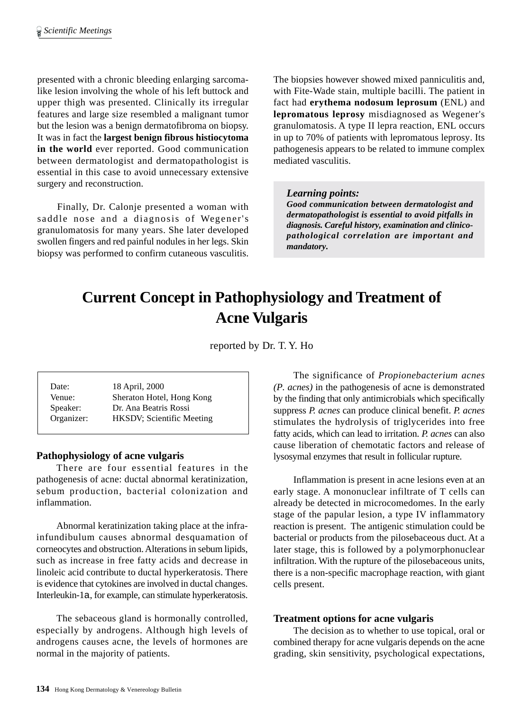presented with a chronic bleeding enlarging sarcomalike lesion involving the whole of his left buttock and upper thigh was presented. Clinically its irregular features and large size resembled a malignant tumor but the lesion was a benign dermatofibroma on biopsy. It was in fact the **largest benign fibrous histiocytoma in the world** ever reported. Good communication between dermatologist and dermatopathologist is essential in this case to avoid unnecessary extensive surgery and reconstruction.

Finally, Dr. Calonje presented a woman with saddle nose and a diagnosis of Wegener's granulomatosis for many years. She later developed swollen fingers and red painful nodules in her legs. Skin biopsy was performed to confirm cutaneous vasculitis.

The biopsies however showed mixed panniculitis and, with Fite-Wade stain, multiple bacilli. The patient in fact had **erythema nodosum leprosum** (ENL) and **lepromatous leprosy** misdiagnosed as Wegener's granulomatosis. A type II lepra reaction, ENL occurs in up to 70% of patients with lepromatous leprosy. Its pathogenesis appears to be related to immune complex mediated vasculitis.

#### *Learning points:*

*Good communication between dermatologist and dermatopathologist is essential to avoid pitfalls in diagnosis. Careful history, examination and clinicopathological correlation are important and mandatory.*

# **Current Concept in Pathophysiology and Treatment of Acne Vulgaris**

reported by Dr. T. Y. Ho

| Date:      | 18 April, 2000            |
|------------|---------------------------|
| Venue:     | Sheraton Hotel, Hong Kong |
| Speaker:   | Dr. Ana Beatris Rossi     |
| Organizer: | HKSDV; Scientific Meeting |

#### **Pathophysiology of acne vulgaris**

There are four essential features in the pathogenesis of acne: ductal abnormal keratinization, sebum production, bacterial colonization and inflammation.

Abnormal keratinization taking place at the infrainfundibulum causes abnormal desquamation of corneocytes and obstruction. Alterations in sebum lipids, such as increase in free fatty acids and decrease in linoleic acid contribute to ductal hyperkeratosis. There is evidence that cytokines are involved in ductal changes. Interleukin-1a, for example, can stimulate hyperkeratosis.

The sebaceous gland is hormonally controlled, especially by androgens. Although high levels of androgens causes acne, the levels of hormones are normal in the majority of patients.

The significance of *Propionebacterium acnes (P. acnes)* in the pathogenesis of acne is demonstrated by the finding that only antimicrobials which specifically suppress *P. acnes* can produce clinical benefit. *P. acnes* stimulates the hydrolysis of triglycerides into free fatty acids, which can lead to irritation. *P. acnes* can also cause liberation of chemotatic factors and release of lysosymal enzymes that result in follicular rupture.

Inflammation is present in acne lesions even at an early stage. A mononuclear infiltrate of T cells can already be detected in microcomedomes. In the early stage of the papular lesion, a type IV inflammatory reaction is present. The antigenic stimulation could be bacterial or products from the pilosebaceous duct. At a later stage, this is followed by a polymorphonuclear infiltration. With the rupture of the pilosebaceous units, there is a non-specific macrophage reaction, with giant cells present.

#### **Treatment options for acne vulgaris**

The decision as to whether to use topical, oral or combined therapy for acne vulgaris depends on the acne grading, skin sensitivity, psychological expectations,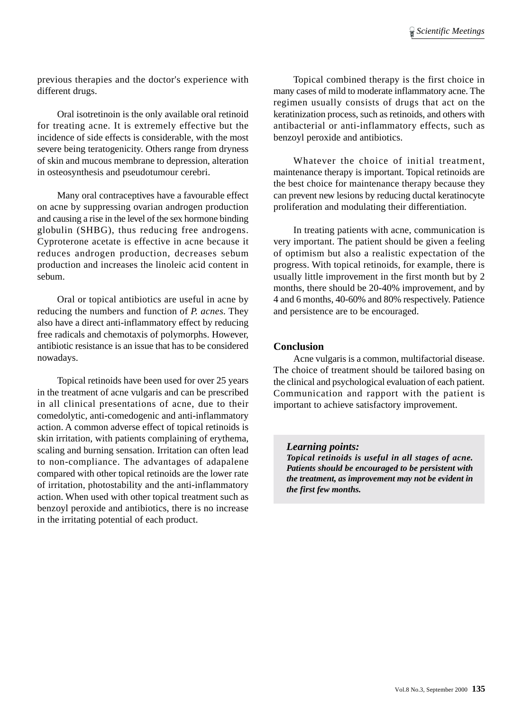previous therapies and the doctor's experience with different drugs.

Oral isotretinoin is the only available oral retinoid for treating acne. It is extremely effective but the incidence of side effects is considerable, with the most severe being teratogenicity. Others range from dryness of skin and mucous membrane to depression, alteration in osteosynthesis and pseudotumour cerebri.

Many oral contraceptives have a favourable effect on acne by suppressing ovarian androgen production and causing a rise in the level of the sex hormone binding globulin (SHBG), thus reducing free androgens. Cyproterone acetate is effective in acne because it reduces androgen production, decreases sebum production and increases the linoleic acid content in sebum.

Oral or topical antibiotics are useful in acne by reducing the numbers and function of *P. acnes*. They also have a direct anti-inflammatory effect by reducing free radicals and chemotaxis of polymorphs. However, antibiotic resistance is an issue that has to be considered nowadays.

Topical retinoids have been used for over 25 years in the treatment of acne vulgaris and can be prescribed in all clinical presentations of acne, due to their comedolytic, anti-comedogenic and anti-inflammatory action. A common adverse effect of topical retinoids is skin irritation, with patients complaining of erythema, scaling and burning sensation. Irritation can often lead to non-compliance. The advantages of adapalene compared with other topical retinoids are the lower rate of irritation, photostability and the anti-inflammatory action. When used with other topical treatment such as benzoyl peroxide and antibiotics, there is no increase in the irritating potential of each product.

Topical combined therapy is the first choice in many cases of mild to moderate inflammatory acne. The regimen usually consists of drugs that act on the keratinization process, such as retinoids, and others with antibacterial or anti-inflammatory effects, such as benzoyl peroxide and antibiotics.

Whatever the choice of initial treatment, maintenance therapy is important. Topical retinoids are the best choice for maintenance therapy because they can prevent new lesions by reducing ductal keratinocyte proliferation and modulating their differentiation.

In treating patients with acne, communication is very important. The patient should be given a feeling of optimism but also a realistic expectation of the progress. With topical retinoids, for example, there is usually little improvement in the first month but by 2 months, there should be 20-40% improvement, and by 4 and 6 months, 40-60% and 80% respectively. Patience and persistence are to be encouraged.

#### **Conclusion**

Acne vulgaris is a common, multifactorial disease. The choice of treatment should be tailored basing on the clinical and psychological evaluation of each patient. Communication and rapport with the patient is important to achieve satisfactory improvement.

*the treatment, as improvement may not be evident in*

*Learning points: Topical retinoids is useful in all stages of acne. Patients should be encouraged to be persistent with*

*the first few months.*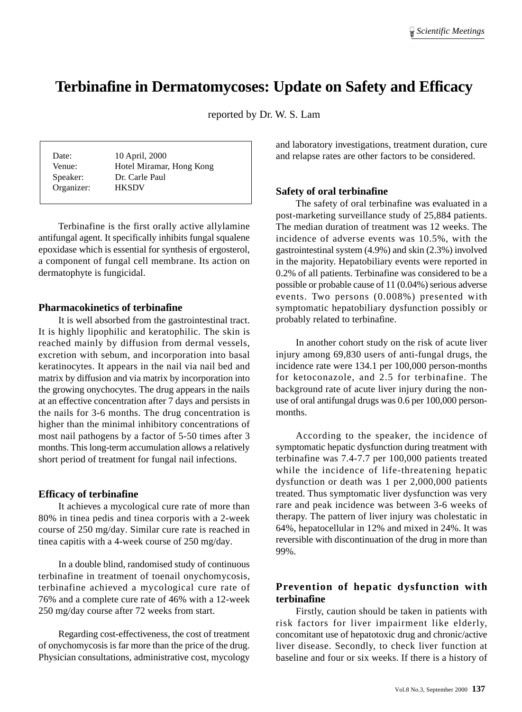# **Terbinafine in Dermatomycoses: Update on Safety and Efficacy**

reported by Dr. W. S. Lam

| Date:      | 10 April, 2000           |
|------------|--------------------------|
| Venue:     | Hotel Miramar, Hong Kong |
| Speaker:   | Dr. Carle Paul           |
| Organizer: | <b>HKSDV</b>             |

Terbinafine is the first orally active allylamine antifungal agent. It specifically inhibits fungal squalene epoxidase which is essential for synthesis of ergosterol, a component of fungal cell membrane. Its action on dermatophyte is fungicidal.

#### **Pharmacokinetics of terbinafine**

It is well absorbed from the gastrointestinal tract. It is highly lipophilic and keratophilic. The skin is reached mainly by diffusion from dermal vessels, excretion with sebum, and incorporation into basal keratinocytes. It appears in the nail via nail bed and matrix by diffusion and via matrix by incorporation into the growing onychocytes. The drug appears in the nails at an effective concentration after 7 days and persists in the nails for 3-6 months. The drug concentration is higher than the minimal inhibitory concentrations of most nail pathogens by a factor of 5-50 times after 3 months. This long-term accumulation allows a relatively short period of treatment for fungal nail infections.

#### **Efficacy of terbinafine**

It achieves a mycological cure rate of more than 80% in tinea pedis and tinea corporis with a 2-week course of 250 mg/day. Similar cure rate is reached in tinea capitis with a 4-week course of 250 mg/day.

In a double blind, randomised study of continuous terbinafine in treatment of toenail onychomycosis, terbinafine achieved a mycological cure rate of 76% and a complete cure rate of 46% with a 12-week 250 mg/day course after 72 weeks from start.

Regarding cost-effectiveness, the cost of treatment of onychomycosis is far more than the price of the drug. Physician consultations, administrative cost, mycology

and laboratory investigations, treatment duration, cure and relapse rates are other factors to be considered.

#### **Safety of oral terbinafine**

The safety of oral terbinafine was evaluated in a post-marketing surveillance study of 25,884 patients. The median duration of treatment was 12 weeks. The incidence of adverse events was 10.5%, with the gastrointestinal system (4.9%) and skin (2.3%) involved in the majority. Hepatobiliary events were reported in 0.2% of all patients. Terbinafine was considered to be a possible or probable cause of 11 (0.04%) serious adverse events. Two persons (0.008%) presented with symptomatic hepatobiliary dysfunction possibly or probably related to terbinafine.

In another cohort study on the risk of acute liver injury among 69,830 users of anti-fungal drugs, the incidence rate were 134.1 per 100,000 person-months for ketoconazole, and 2.5 for terbinafine. The background rate of acute liver injury during the nonuse of oral antifungal drugs was 0.6 per 100,000 personmonths.

According to the speaker, the incidence of symptomatic hepatic dysfunction during treatment with terbinafine was 7.4-7.7 per 100,000 patients treated while the incidence of life-threatening hepatic dysfunction or death was 1 per 2,000,000 patients treated. Thus symptomatic liver dysfunction was very rare and peak incidence was between 3-6 weeks of therapy. The pattern of liver injury was cholestatic in 64%, hepatocellular in 12% and mixed in 24%. It was reversible with discontinuation of the drug in more than 99%.

# **Prevention of hepatic dysfunction with terbinafine**

Firstly, caution should be taken in patients with risk factors for liver impairment like elderly, concomitant use of hepatotoxic drug and chronic/active liver disease. Secondly, to check liver function at baseline and four or six weeks. If there is a history of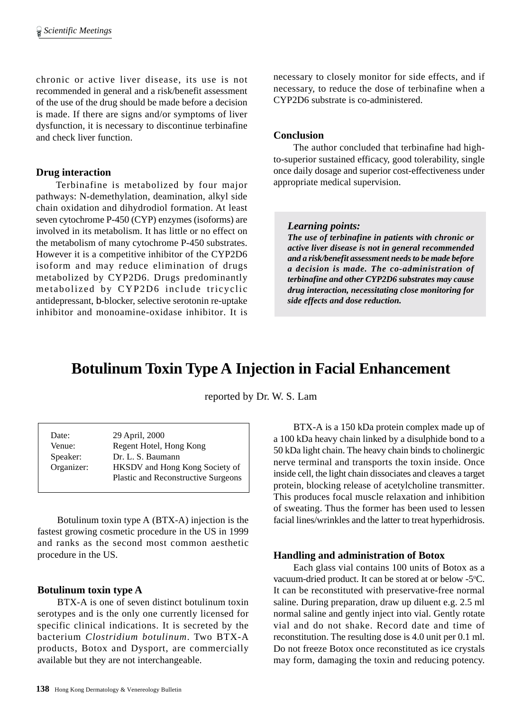chronic or active liver disease, its use is not recommended in general and a risk/benefit assessment of the use of the drug should be made before a decision is made. If there are signs and/or symptoms of liver dysfunction, it is necessary to discontinue terbinafine and check liver function.

#### **Drug interaction**

Terbinafine is metabolized by four major pathways: N-demethylation, deamination, alkyl side chain oxidation and dihydrodiol formation. At least seven cytochrome P-450 (CYP) enzymes (isoforms) are involved in its metabolism. It has little or no effect on the metabolism of many cytochrome P-450 substrates. However it is a competitive inhibitor of the CYP2D6 isoform and may reduce elimination of drugs metabolized by CYP2D6. Drugs predominantly metabolized by CYP2D6 include tricyclic antidepressant, b-blocker, selective serotonin re-uptake inhibitor and monoamine-oxidase inhibitor. It is necessary to closely monitor for side effects, and if necessary, to reduce the dose of terbinafine when a CYP2D6 substrate is co-administered.

#### **Conclusion**

The author concluded that terbinafine had highto-superior sustained efficacy, good tolerability, single once daily dosage and superior cost-effectiveness under appropriate medical supervision.

#### *Learning points:*

*The use of terbinafine in patients with chronic or active liver disease is not in general recommended and a risk/benefit assessment needs to be made before a decision is made. The co-administration of terbinafine and other CYP2D6 substrates may cause drug interaction, necessitating close monitoring for side effects and dose reduction.*

# **Botulinum Toxin Type A Injection in Facial Enhancement**

reported by Dr. W. S. Lam

| Date:      | 29 April, 2000                             |
|------------|--------------------------------------------|
| Venue:     | Regent Hotel, Hong Kong                    |
| Speaker:   | Dr. L. S. Baumann                          |
| Organizer: | HKSDV and Hong Kong Society of             |
|            | <b>Plastic and Reconstructive Surgeons</b> |

Botulinum toxin type A (BTX-A) injection is the fastest growing cosmetic procedure in the US in 1999 and ranks as the second most common aesthetic procedure in the US.

#### **Botulinum toxin type A**

BTX-A is one of seven distinct botulinum toxin serotypes and is the only one currently licensed for specific clinical indications. It is secreted by the bacterium *Clostridium botulinum*. Two BTX-A products, Botox and Dysport, are commercially available but they are not interchangeable.

BTX-A is a 150 kDa protein complex made up of a 100 kDa heavy chain linked by a disulphide bond to a 50 kDa light chain. The heavy chain binds to cholinergic nerve terminal and transports the toxin inside. Once inside cell, the light chain dissociates and cleaves a target protein, blocking release of acetylcholine transmitter. This produces focal muscle relaxation and inhibition of sweating. Thus the former has been used to lessen facial lines/wrinkles and the latter to treat hyperhidrosis.

#### **Handling and administration of Botox**

Each glass vial contains 100 units of Botox as a vacuum-dried product. It can be stored at or below -5°C. It can be reconstituted with preservative-free normal saline. During preparation, draw up diluent e.g. 2.5 ml normal saline and gently inject into vial. Gently rotate vial and do not shake. Record date and time of reconstitution. The resulting dose is 4.0 unit per 0.1 ml. Do not freeze Botox once reconstituted as ice crystals may form, damaging the toxin and reducing potency.